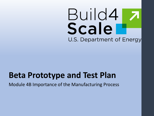# Build4 Scale U.S. Department of Energy

# **Beta Prototype and Test Plan**

#### Module 4B Importance of the Manufacturing Process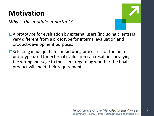### **Motivation**

*Why is this module important?*



 $\mathcal{P}$ 

- $\Box$  A prototype for evaluation by external users (including clients) is very different from a prototype for internal evaluation and product-development purposes
- $\Box$  Selecting inadequate manufacturing processes for the beta prototype used for external evaluation can result in conveying the wrong message to the client regarding whether the final product will meet their requirements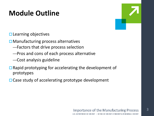### **Module Outline**

 $\square$  Learning objectives

- **□ Manufacturing process alternatives** 
	- —Factors that drive process selection
	- —Pros and cons of each process alternative
	- —Cost analysis guideline
- $\Box$  Rapid prototyping for accelerating the development of prototypes
- $\Box$  Case study of accelerating prototype development

#### **Importance of the Manufacturing Process**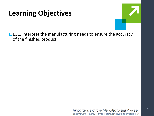### **Learning Objectives**



 $\Box$  LO1. Interpret the manufacturing needs to ensure the accuracy of the finished product

#### **Importance of the Manufacturing Process**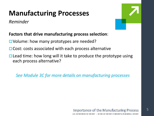# **Manufacturing Processes**

### *Reminder*



#### **Factors that drive manufacturing process selection**:

- □ Volume: how many prototypes are needed?
- $\Box$  Cost: costs associated with each process alternative
- $\Box$  Lead time: how long will it take to produce the prototype using each process alternative?

*See Module 3C for more details on manufacturing processes*

5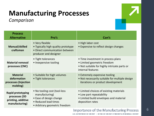# **Manufacturing Processes**

*Comparison*



| <b>Process</b><br><b>Alternative</b>                                              | Pro's                                                                                                                              | Con's                                                                                                                                  |
|-----------------------------------------------------------------------------------|------------------------------------------------------------------------------------------------------------------------------------|----------------------------------------------------------------------------------------------------------------------------------------|
| Manual/skilled<br>craftsman                                                       | • Very flexible<br>• Typically high quality prototype<br>• Direct communication between<br>producer and designer                   | • High labor cost<br>• Expensive to reflect design changes                                                                             |
| <b>Material removal</b><br>processes (CNC)                                        | • Tight tolerances<br>• Inexpensive tooling                                                                                        | • Time investment in process plans<br>• Limited geometric freedom<br>• Not suitable for highly intricate parts or<br>internal features |
| <b>Material</b><br>deformation<br>processes (Injection<br>molding)                | • Suitable for high volumes<br>• Tight tolerances                                                                                  | • Extremely expensive tooling<br>• Not necessarily suitable for multiple design<br>iterations or product development                   |
| <b>Rapid prototyping</b><br>processes (3D<br>printing, additive<br>manufacturing) | • No tooling cost (tool-less<br>manufacturing)<br>• Ease of design change<br>• Reduced lead times<br>• Arbitrary geometric freedom | • Limited choices of existing materials<br>• Low part repeatability<br>• Limited build envelopes and material<br>deposition rates      |

#### **Importance of the Manufacturing Process**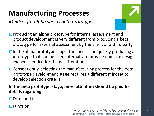# **Manufacturing Processes**

*Mindset for alpha versus beta prototype*



- $\Box$  In the alpha prototype stage, the focus is on quickly producing a prototype that can be used internally to provide input on design changes needed for the next iteration
- $\Box$  Consequently, selecting the manufacturing process for the beta prototype development stage requires a different mindset to develop selection criteria

**In the beta prototype stage, more attention should be paid to details regarding**:

 $\Box$  Form and fit

 $\square$  Function

7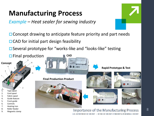# **Manufacturing Process**

*Example – Heat sealer for sewing industry*

 $\Box$  Concept drawing to anticipate feature priority and part needs

 $\Box$  CAD for initial part design feasibility

Several prototype for "works-like and "looks-like" testing

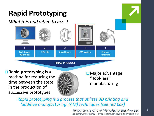# **Rapid Prototyping**

### *What it is and when to use it*



**FINAL PRODUCT** 

**Rapid prototyping** is a method for reducing the time between the steps in the production of successive prototypes



 $\Box$  Major advantage: "Tool-less" manufacturing

*Rapid prototyping is a process that utilizes 3D printing and 'additive manufacturing' (AM) techniques (see red box)*

> **Importance of the Manufacturing Process** U.S. DEPARTMENT OF ENERGY . OFFICE OF ENERGY EFFICIENCY & RENEWABLE ENERGY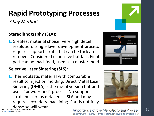*7 Key Methods* 

### **Stereolithography (SLA):**

**□ Greatest material choice. Very high detail** resolution. Single layer development process requires support struts that can be tricky to remove. Considered expensive but fast. Final part can be machined, used as a master mold.

### **Selective Laser Sintering (SLS):**

 $\Box$  Thermoplastic material with comparable result to injection molding. Direct Metal Laser Sintering (DMLS) is the metal version but both use a "powder bed" process. No support struts but not as detailed as SLA and may require secondary machining. Part is not fully







Top 7 Methods For Making 3D Rapid Prototypes by **[Star Rapid](https://www.starrapid.com/blog/author/admin/)** | Aug 14, 2015

#### dense so will wear.<br>For Making 3D Rapid Prototypes **10**<br>Aug 14 2015 U.S. DEPARTMENT OF ENERGY . OFFICE OF ENERGY EFFICIENCY & RENEWABLE ENERGY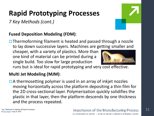*7 Key Methods (cont.)* 

### **Fused Deposition Modeling (FDM)**:

 $\Box$  Thermoforming filament is heated and passed through a nozzle to lay down successive layers. Machines are getting smaller and

cheaper, with a variety of plastics. More than one kind of material can be printed during a single build. Too slow for large production

runs but is ideal for rapid prototyping and very cost effective.

### **Multi Jet Modeling (MJM)**:

 $\Box$  A thermosetting polymer is used in an array of inkjet nozzles moving horizontally across the platform depositing a thin film for the 2D cross-sectional layer. Polymerization quickly solidifies the plastic in that layer, then the platform descends by one thickness and the process repeated.

#### **Importance of the Manufacturing Process** U.S. DEPARTMENT OF ENERGY . OFFICE OF ENERGY EFFICIENCY & RENEWABLE ENERGY



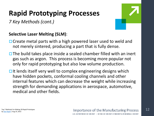*7 Key Methods (cont.)* 

### **Selective Laser Melting (SLM)**:

- 
- □ Create metal parts with a high powered laser used to weld and not merely sintered, producing a part that is fully dense.
- $\Box$  The build takes place inside a sealed chamber filled with an inert gas such as argon. This process is becoming more popular not only for rapid prototyping but also low volume production.
- $\Box$  It lends itself very well to complex engineering designs which have hidden pockets, conformal cooling channels and other internal features which can decrease the weight while increasing strength for demanding applications in aerospace, automotive, medical and other fields.

#### **Importance of the Manufacturing Process**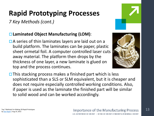*7 Key Methods (cont.)* 

#### **Laminated Object Manufacturing (LOM)**:

□ A series of thin laminates layers are laid out on a build platform. The laminates can be paper, plastic sheet ormetal foil. A computer controlled laser cuts away material. The platform then drops by the thickness of one layer, a new laminate is glued on top and the process continues.



 $\Box$  This stacking process makes a finished part which is less sophisticated than a SLS or SLM equivalent, but it is cheaper and does not require especially controlled working conditions. Also, if paper is used as the laminate the finished part will be similar to solid wood and can be worked accordingly.



#### **Importance of the Manufacturing Process**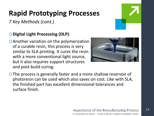*7 Key Methods (cont.)* 

### **Digital Light Processing (DLP)**:

 $\Box$  Another variation on the polymerization of a curable resin, this process is very similar to SLA printing. It cures the resin with a more conventional light source, but it also requires support structures and post-build curing.



 $\Box$  The process is generally faster and a more shallow reservoir of photoresin can be used which also saves on cost. Like with SLA, the finished part has excellent dimensional tolerances and surface finish.

#### **Importance of the Manufacturing Process**